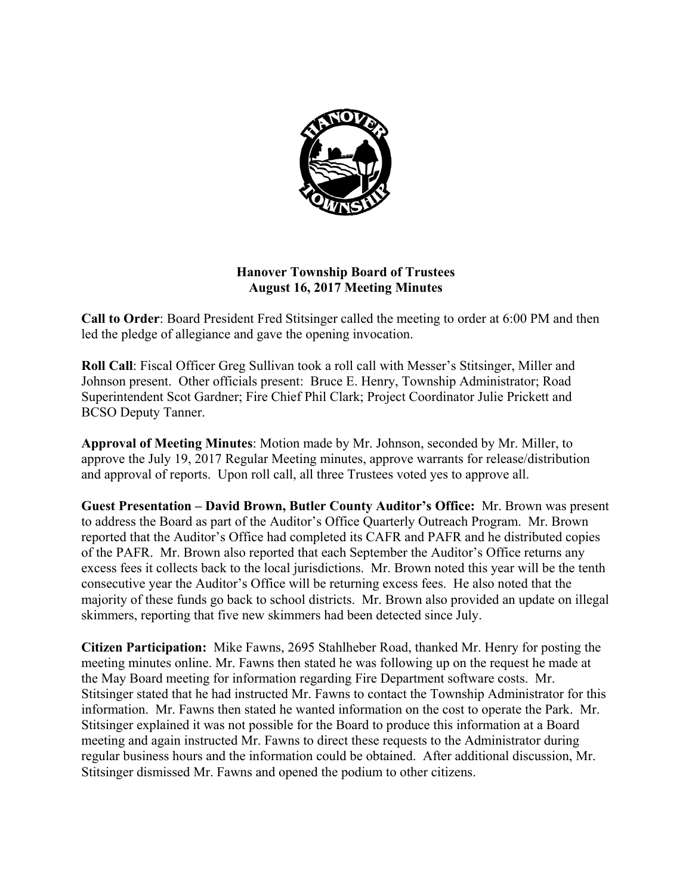

# **Hanover Township Board of Trustees August 16, 2017 Meeting Minutes**

**Call to Order**: Board President Fred Stitsinger called the meeting to order at 6:00 PM and then led the pledge of allegiance and gave the opening invocation.

**Roll Call**: Fiscal Officer Greg Sullivan took a roll call with Messer's Stitsinger, Miller and Johnson present. Other officials present: Bruce E. Henry, Township Administrator; Road Superintendent Scot Gardner; Fire Chief Phil Clark; Project Coordinator Julie Prickett and BCSO Deputy Tanner.

**Approval of Meeting Minutes**: Motion made by Mr. Johnson, seconded by Mr. Miller, to approve the July 19, 2017 Regular Meeting minutes, approve warrants for release/distribution and approval of reports. Upon roll call, all three Trustees voted yes to approve all.

**Guest Presentation – David Brown, Butler County Auditor's Office:** Mr. Brown was present to address the Board as part of the Auditor's Office Quarterly Outreach Program. Mr. Brown reported that the Auditor's Office had completed its CAFR and PAFR and he distributed copies of the PAFR. Mr. Brown also reported that each September the Auditor's Office returns any excess fees it collects back to the local jurisdictions. Mr. Brown noted this year will be the tenth consecutive year the Auditor's Office will be returning excess fees. He also noted that the majority of these funds go back to school districts. Mr. Brown also provided an update on illegal skimmers, reporting that five new skimmers had been detected since July.

**Citizen Participation:** Mike Fawns, 2695 Stahlheber Road, thanked Mr. Henry for posting the meeting minutes online. Mr. Fawns then stated he was following up on the request he made at the May Board meeting for information regarding Fire Department software costs. Mr. Stitsinger stated that he had instructed Mr. Fawns to contact the Township Administrator for this information. Mr. Fawns then stated he wanted information on the cost to operate the Park. Mr. Stitsinger explained it was not possible for the Board to produce this information at a Board meeting and again instructed Mr. Fawns to direct these requests to the Administrator during regular business hours and the information could be obtained. After additional discussion, Mr. Stitsinger dismissed Mr. Fawns and opened the podium to other citizens.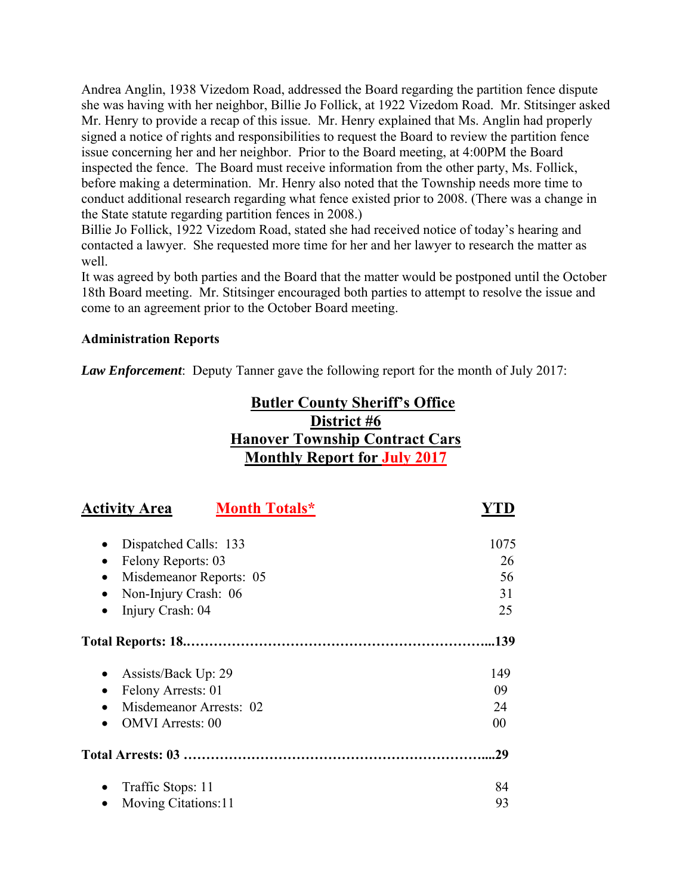Andrea Anglin, 1938 Vizedom Road, addressed the Board regarding the partition fence dispute she was having with her neighbor, Billie Jo Follick, at 1922 Vizedom Road. Mr. Stitsinger asked Mr. Henry to provide a recap of this issue. Mr. Henry explained that Ms. Anglin had properly signed a notice of rights and responsibilities to request the Board to review the partition fence issue concerning her and her neighbor. Prior to the Board meeting, at 4:00PM the Board inspected the fence. The Board must receive information from the other party, Ms. Follick, before making a determination. Mr. Henry also noted that the Township needs more time to conduct additional research regarding what fence existed prior to 2008. (There was a change in the State statute regarding partition fences in 2008.)

Billie Jo Follick, 1922 Vizedom Road, stated she had received notice of today's hearing and contacted a lawyer. She requested more time for her and her lawyer to research the matter as well.

It was agreed by both parties and the Board that the matter would be postponed until the October 18th Board meeting. Mr. Stitsinger encouraged both parties to attempt to resolve the issue and come to an agreement prior to the October Board meeting.

# **Administration Reports**

*Law Enforcement*: Deputy Tanner gave the following report for the month of July 2017:

# **Butler County Sheriff's Office District #6 Hanover Township Contract Cars Monthly Report for July 2017**

| <b>Month Totals*</b><br><b>Activity Area</b> |      |
|----------------------------------------------|------|
| Dispatched Calls: 133<br>$\bullet$           | 1075 |
| Felony Reports: 03<br>$\bullet$              | 26   |
| Misdemeanor Reports: 05<br>٠                 | 56   |
| Non-Injury Crash: 06<br>$\bullet$            | 31   |
| Injury Crash: 04<br>٠                        | 25   |
|                                              | .139 |
| Assists/Back Up: 29<br>$\bullet$             | 149  |
| Felony Arrests: 01<br>$\bullet$              | 09   |
| Misdemeanor Arrests: 02                      | 24   |
| <b>OMVI</b> Arrests: 00                      | 00   |
|                                              | 29   |
| Traffic Stops: 11<br>٠                       | 84   |
| Moving Citations:11                          | 93   |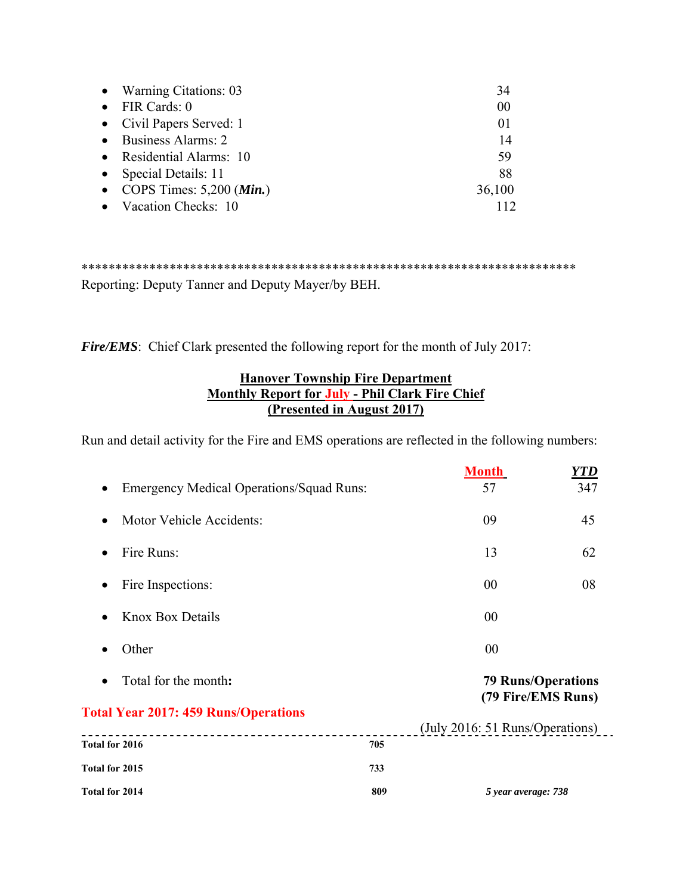| • Warning Citations: 03               | 34     |
|---------------------------------------|--------|
| $\bullet$ FIR Cards: 0                | 00     |
| • Civil Papers Served: 1              | 01     |
| • Business Alarms: 2                  | 14     |
| • Residential Alarms: 10              | 59     |
| • Special Details: 11                 | 88     |
| • COPS Times: $5,200$ ( <i>Min.</i> ) | 36,100 |
| • Vacation Checks: 10                 |        |

\*\*\*\*\*\*\*\*\*\*\*\*\*\*\*\*\*\*\*\*\*\*\*\*\*\*\*\*\*\*\*\*\*\*\*\*\*\*\*\*\*\*\*\*\*\*\*\*\*\*\*\*\*\*\*\*\*\*\*\*\*\*\*\*\*\*\*\*\*\*\*\*\* Reporting: Deputy Tanner and Deputy Mayer/by BEH.

*Fire/EMS*: Chief Clark presented the following report for the month of July 2017:

# **Hanover Township Fire Department Monthly Report for July - Phil Clark Fire Chief (Presented in August 2017)**

Run and detail activity for the Fire and EMS operations are reflected in the following numbers:

|                                                 |     | <b>Month</b>                                    | YTD |
|-------------------------------------------------|-----|-------------------------------------------------|-----|
| <b>Emergency Medical Operations/Squad Runs:</b> |     | 57                                              | 347 |
| Motor Vehicle Accidents:<br>$\bullet$           |     | 09                                              | 45  |
| Fire Runs:                                      |     | 13                                              | 62  |
| Fire Inspections:<br>$\bullet$                  |     | 00                                              | 08  |
| <b>Knox Box Details</b>                         |     | 00                                              |     |
| Other                                           |     | 00                                              |     |
| Total for the month:                            |     | <b>79 Runs/Operations</b><br>(79 Fire/EMS Runs) |     |
| <b>Total Year 2017: 459 Runs/Operations</b>     |     | (July 2016: 51 Runs/Operations)                 |     |
| Total for 2016                                  | 705 |                                                 |     |
| Total for 2015                                  | 733 |                                                 |     |
| Total for 2014                                  | 809 | 5 year average: 738                             |     |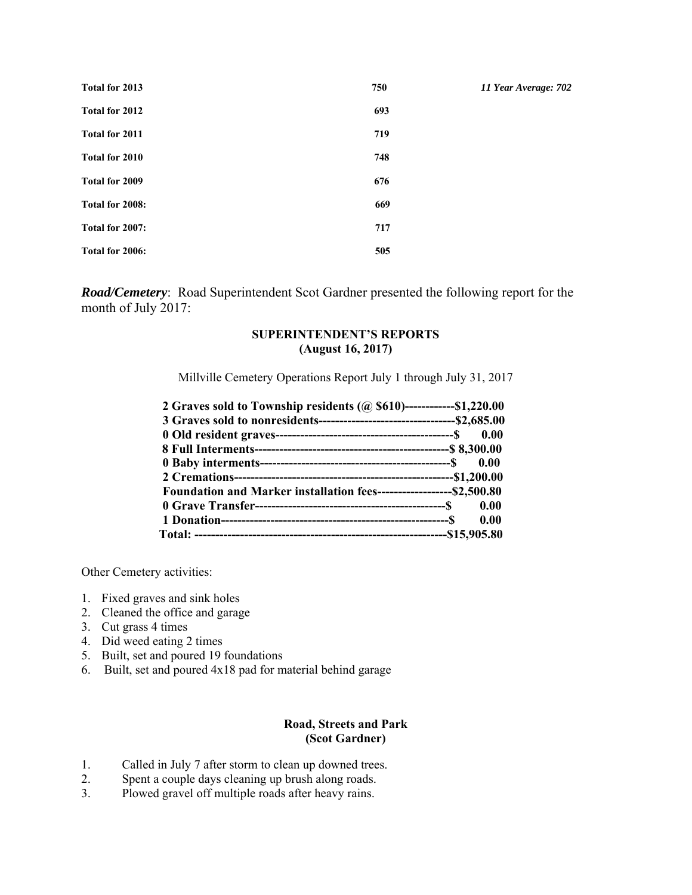| Total for 2013  | 750 | 11 Year Average: 702 |
|-----------------|-----|----------------------|
| Total for 2012  | 693 |                      |
| Total for 2011  | 719 |                      |
| Total for 2010  | 748 |                      |
| Total for 2009  | 676 |                      |
| Total for 2008: | 669 |                      |
| Total for 2007: | 717 |                      |
| Total for 2006: | 505 |                      |

*Road/Cemetery*: Road Superintendent Scot Gardner presented the following report for the month of July 2017:

## **SUPERINTENDENT'S REPORTS (August 16, 2017)**

Millville Cemetery Operations Report July 1 through July 31, 2017

| 2 Graves sold to Township residents (@ \$610)-------------\$1,220.00  |      |
|-----------------------------------------------------------------------|------|
|                                                                       |      |
|                                                                       |      |
|                                                                       |      |
|                                                                       |      |
|                                                                       |      |
| Foundation and Marker installation fees--------------------\$2,500.80 |      |
|                                                                       |      |
|                                                                       | 0.00 |
|                                                                       |      |

Other Cemetery activities:

- 1. Fixed graves and sink holes
- 2. Cleaned the office and garage
- 3. Cut grass 4 times
- 4. Did weed eating 2 times
- 5. Built, set and poured 19 foundations
- 6. Built, set and poured 4x18 pad for material behind garage

## **Road, Streets and Park (Scot Gardner)**

- 1. Called in July 7 after storm to clean up downed trees.
- 2. Spent a couple days cleaning up brush along roads.
- 3. Plowed gravel off multiple roads after heavy rains.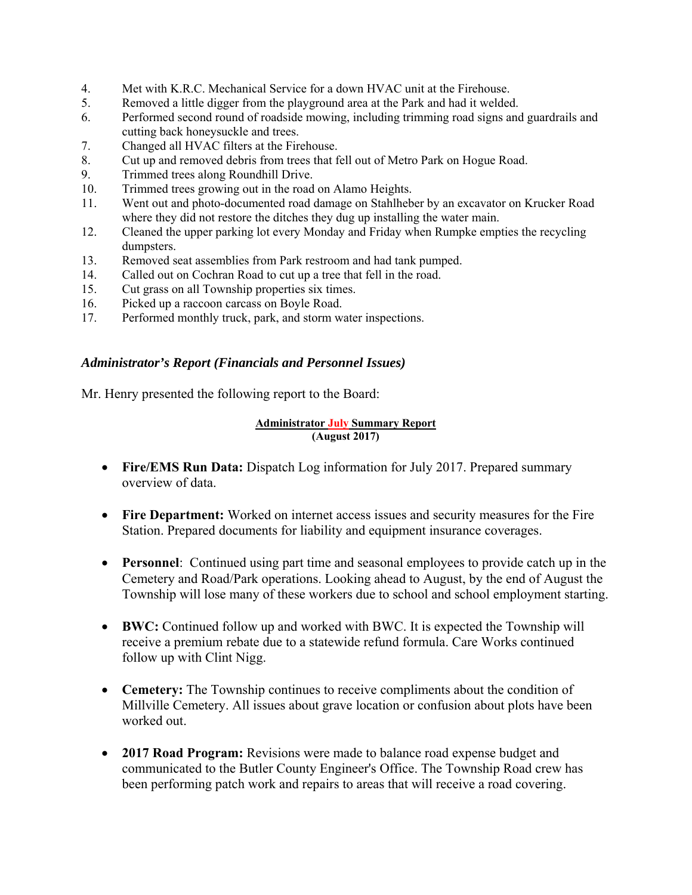- 4. Met with K.R.C. Mechanical Service for a down HVAC unit at the Firehouse.
- 5. Removed a little digger from the playground area at the Park and had it welded.
- 6. Performed second round of roadside mowing, including trimming road signs and guardrails and cutting back honeysuckle and trees.
- 7. Changed all HVAC filters at the Firehouse.
- 8. Cut up and removed debris from trees that fell out of Metro Park on Hogue Road.
- 9. Trimmed trees along Roundhill Drive.
- 10. Trimmed trees growing out in the road on Alamo Heights.
- 11. Went out and photo-documented road damage on Stahlheber by an excavator on Krucker Road where they did not restore the ditches they dug up installing the water main.
- 12. Cleaned the upper parking lot every Monday and Friday when Rumpke empties the recycling dumpsters.
- 13. Removed seat assemblies from Park restroom and had tank pumped.
- 14. Called out on Cochran Road to cut up a tree that fell in the road.
- 15. Cut grass on all Township properties six times.
- 16. Picked up a raccoon carcass on Boyle Road.
- 17. Performed monthly truck, park, and storm water inspections.

# *Administrator's Report (Financials and Personnel Issues)*

Mr. Henry presented the following report to the Board:

#### **Administrator July Summary Report (August 2017)**

- **Fire/EMS Run Data:** Dispatch Log information for July 2017. Prepared summary overview of data.
- **Fire Department:** Worked on internet access issues and security measures for the Fire Station. Prepared documents for liability and equipment insurance coverages.
- **Personnel**: Continued using part time and seasonal employees to provide catch up in the Cemetery and Road/Park operations. Looking ahead to August, by the end of August the Township will lose many of these workers due to school and school employment starting.
- **BWC:** Continued follow up and worked with BWC. It is expected the Township will receive a premium rebate due to a statewide refund formula. Care Works continued follow up with Clint Nigg.
- **Cemetery:** The Township continues to receive compliments about the condition of Millville Cemetery. All issues about grave location or confusion about plots have been worked out.
- **2017 Road Program:** Revisions were made to balance road expense budget and communicated to the Butler County Engineer's Office. The Township Road crew has been performing patch work and repairs to areas that will receive a road covering.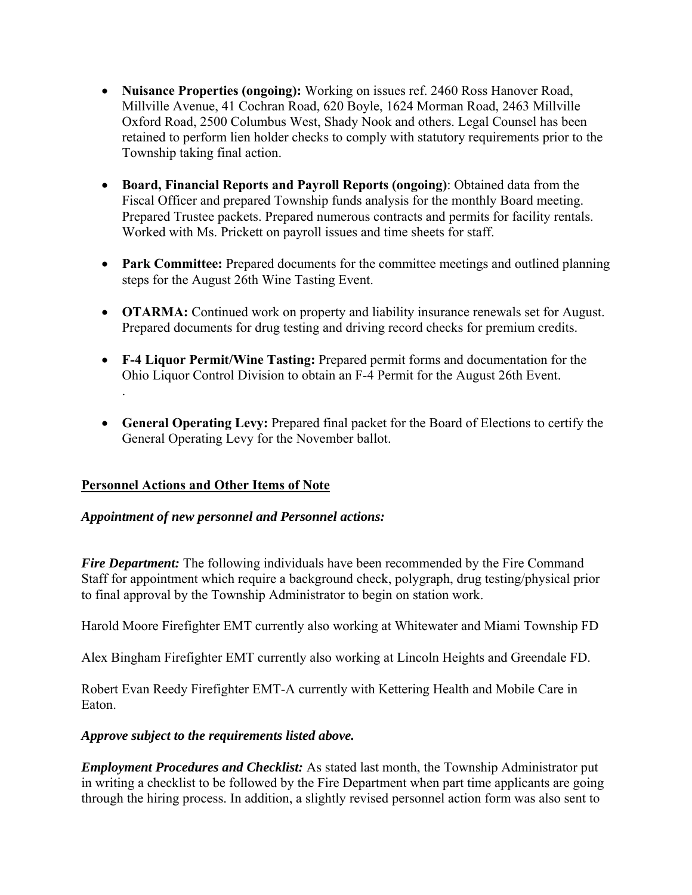- **Nuisance Properties (ongoing):** Working on issues ref. 2460 Ross Hanover Road, Millville Avenue, 41 Cochran Road, 620 Boyle, 1624 Morman Road, 2463 Millville Oxford Road, 2500 Columbus West, Shady Nook and others. Legal Counsel has been retained to perform lien holder checks to comply with statutory requirements prior to the Township taking final action.
- **Board, Financial Reports and Payroll Reports (ongoing)**: Obtained data from the Fiscal Officer and prepared Township funds analysis for the monthly Board meeting. Prepared Trustee packets. Prepared numerous contracts and permits for facility rentals. Worked with Ms. Prickett on payroll issues and time sheets for staff.
- **Park Committee:** Prepared documents for the committee meetings and outlined planning steps for the August 26th Wine Tasting Event.
- **OTARMA:** Continued work on property and liability insurance renewals set for August. Prepared documents for drug testing and driving record checks for premium credits.
- **F-4 Liquor Permit/Wine Tasting:** Prepared permit forms and documentation for the Ohio Liquor Control Division to obtain an F-4 Permit for the August 26th Event.
- **General Operating Levy:** Prepared final packet for the Board of Elections to certify the General Operating Levy for the November ballot.

# **Personnel Actions and Other Items of Note**

.

# *Appointment of new personnel and Personnel actions:*

*Fire Department:* The following individuals have been recommended by the Fire Command Staff for appointment which require a background check, polygraph, drug testing/physical prior to final approval by the Township Administrator to begin on station work.

Harold Moore Firefighter EMT currently also working at Whitewater and Miami Township FD

Alex Bingham Firefighter EMT currently also working at Lincoln Heights and Greendale FD.

Robert Evan Reedy Firefighter EMT-A currently with Kettering Health and Mobile Care in Eaton.

# *Approve subject to the requirements listed above.*

*Employment Procedures and Checklist:* As stated last month, the Township Administrator put in writing a checklist to be followed by the Fire Department when part time applicants are going through the hiring process. In addition, a slightly revised personnel action form was also sent to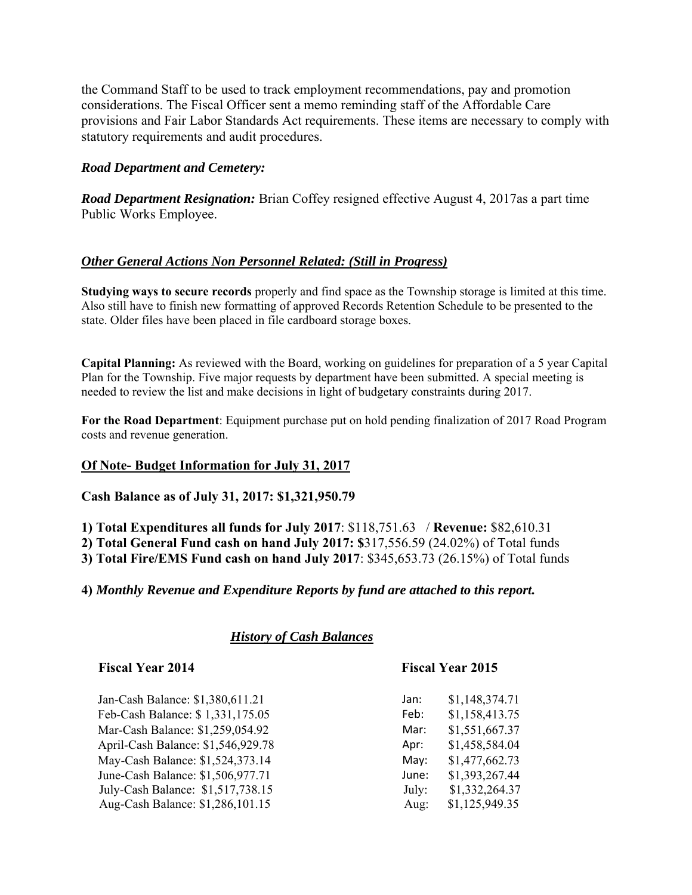the Command Staff to be used to track employment recommendations, pay and promotion considerations. The Fiscal Officer sent a memo reminding staff of the Affordable Care provisions and Fair Labor Standards Act requirements. These items are necessary to comply with statutory requirements and audit procedures.

# *Road Department and Cemetery:*

*Road Department Resignation:* Brian Coffey resigned effective August 4, 2017as a part time Public Works Employee.

# *Other General Actions Non Personnel Related: (Still in Progress)*

**Studying ways to secure records** properly and find space as the Township storage is limited at this time. Also still have to finish new formatting of approved Records Retention Schedule to be presented to the state. Older files have been placed in file cardboard storage boxes.

**Capital Planning:** As reviewed with the Board, working on guidelines for preparation of a 5 year Capital Plan for the Township. Five major requests by department have been submitted. A special meeting is needed to review the list and make decisions in light of budgetary constraints during 2017.

**For the Road Department**: Equipment purchase put on hold pending finalization of 2017 Road Program costs and revenue generation.

### **Of Note- Budget Information for July 31, 2017**

**Cash Balance as of July 31, 2017: \$1,321,950.79** 

**1) Total Expenditures all funds for July 2017**: \$118,751.63 / **Revenue:** \$82,610.31

**2) Total General Fund cash on hand July 2017: \$**317,556.59 (24.02%) of Total funds

**3) Total Fire/EMS Fund cash on hand July 2017**: \$345,653.73 (26.15%) of Total funds

**4)** *Monthly Revenue and Expenditure Reports by fund are attached to this report.* 

*History of Cash Balances*

### **Fiscal Year 2014 Fiscal Year 2015**

Jan-Cash Balance: \$1,380,611.21 Jan: \$1,148,374.71 Feb-Cash Balance: \$ 1,331,175.05 Feb: \$1,158,413.75 Mar-Cash Balance: \$1,259,054.92 Mar: \$1,551,667.37 April-Cash Balance: \$1,546,929.78 Apr: \$1,458,584.04 May-Cash Balance: \$1,524,373.14 May: \$1,477,662.73 June-Cash Balance: \$1,506,977.71 June: \$1,393,267.44 July-Cash Balance: \$1,517,738.15 July: \$1,332,264.37 Aug-Cash Balance: \$1,286,101.15 Aug: \$1,125,949.35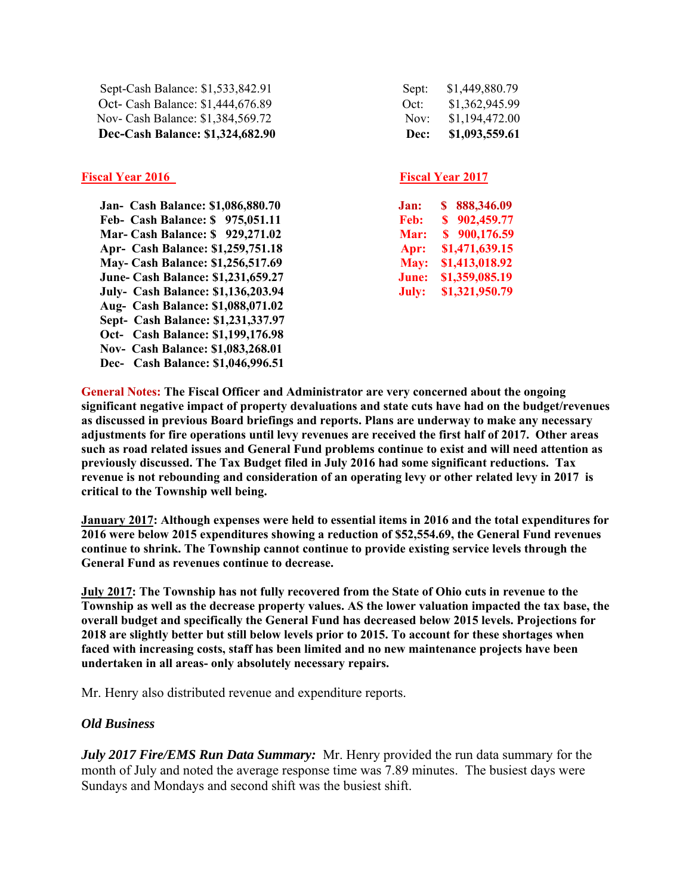| Dec-Cash Balance: \$1,324,682.90  | Dec:  | \$1,093,559.61 |
|-----------------------------------|-------|----------------|
| Nov- Cash Balance: \$1,384,569.72 | Nov:  | \$1,194,472.00 |
| Oct- Cash Balance: \$1,444,676.89 | Oct:  | \$1,362,945.99 |
| Sept-Cash Balance: \$1,533,842.91 | Sept: | \$1,449,880.79 |

### **Fiscal Year 2016** Fiscal Year 2017

 **Jan- Cash Balance: \$1,086,880.70 Feb- Cash Balance: \$ 975,051.11 Mar- Cash Balance: \$ 929,271.02 Apr- Cash Balance: \$1,259,751.18 May- Cash Balance: \$1,256,517.69 June- Cash Balance: \$1,231,659.27 July- Cash Balance: \$1,136,203.94 Aug- Cash Balance: \$1,088,071.02 Sept- Cash Balance: \$1,231,337.97 Oct- Cash Balance: \$1,199,176.98 Nov- Cash Balance: \$1,083,268.01 Dec- Cash Balance: \$1,046,996.51** 

| Sept: | \$1,449,880.79 |
|-------|----------------|
| Oct:  | \$1,362,945.99 |
| Nov:  | \$1,194,472.00 |
| Dec:  | \$1,093,559.61 |

| Jan:        | S | 888,346.09     |
|-------------|---|----------------|
| <b>Feb:</b> | S | 902,459.77     |
| Mar:        |   | \$900,176.59   |
| Apr:        |   | \$1,471,639.15 |
| May:        |   | \$1,413,018.92 |
| June:       |   | \$1,359,085.19 |
| July:       |   | \$1,321,950.79 |

**General Notes: The Fiscal Officer and Administrator are very concerned about the ongoing significant negative impact of property devaluations and state cuts have had on the budget/revenues as discussed in previous Board briefings and reports. Plans are underway to make any necessary adjustments for fire operations until levy revenues are received the first half of 2017. Other areas such as road related issues and General Fund problems continue to exist and will need attention as previously discussed. The Tax Budget filed in July 2016 had some significant reductions. Tax revenue is not rebounding and consideration of an operating levy or other related levy in 2017 is critical to the Township well being.** 

**January 2017: Although expenses were held to essential items in 2016 and the total expenditures for 2016 were below 2015 expenditures showing a reduction of \$52,554.69, the General Fund revenues continue to shrink. The Township cannot continue to provide existing service levels through the General Fund as revenues continue to decrease.** 

**July 2017: The Township has not fully recovered from the State of Ohio cuts in revenue to the Township as well as the decrease property values. AS the lower valuation impacted the tax base, the overall budget and specifically the General Fund has decreased below 2015 levels. Projections for 2018 are slightly better but still below levels prior to 2015. To account for these shortages when faced with increasing costs, staff has been limited and no new maintenance projects have been undertaken in all areas- only absolutely necessary repairs.** 

Mr. Henry also distributed revenue and expenditure reports.

# *Old Business*

*July 2017 Fire/EMS Run Data Summary:* Mr. Henry provided the run data summary for the month of July and noted the average response time was 7.89 minutes. The busiest days were Sundays and Mondays and second shift was the busiest shift.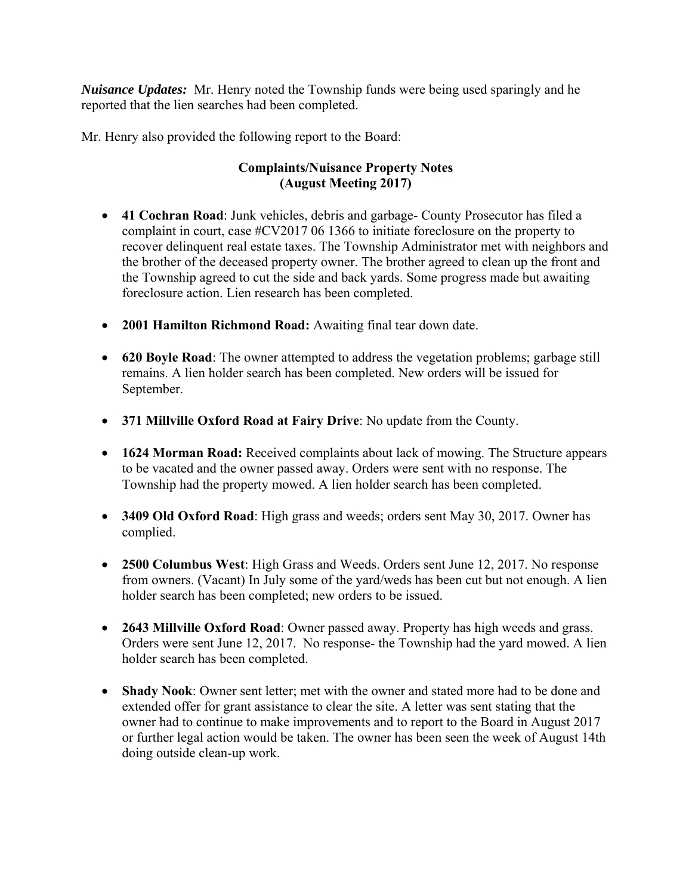*Nuisance Updates:* Mr. Henry noted the Township funds were being used sparingly and he reported that the lien searches had been completed.

Mr. Henry also provided the following report to the Board:

# **Complaints/Nuisance Property Notes (August Meeting 2017)**

- **41 Cochran Road**: Junk vehicles, debris and garbage- County Prosecutor has filed a complaint in court, case #CV2017 06 1366 to initiate foreclosure on the property to recover delinquent real estate taxes. The Township Administrator met with neighbors and the brother of the deceased property owner. The brother agreed to clean up the front and the Township agreed to cut the side and back yards. Some progress made but awaiting foreclosure action. Lien research has been completed.
- **2001 Hamilton Richmond Road:** Awaiting final tear down date.
- **620 Boyle Road**: The owner attempted to address the vegetation problems; garbage still remains. A lien holder search has been completed. New orders will be issued for September.
- **371 Millville Oxford Road at Fairy Drive**: No update from the County.
- **1624 Morman Road:** Received complaints about lack of mowing. The Structure appears to be vacated and the owner passed away. Orders were sent with no response. The Township had the property mowed. A lien holder search has been completed.
- **3409 Old Oxford Road**: High grass and weeds; orders sent May 30, 2017. Owner has complied.
- **2500 Columbus West**: High Grass and Weeds. Orders sent June 12, 2017. No response from owners. (Vacant) In July some of the yard/weds has been cut but not enough. A lien holder search has been completed; new orders to be issued.
- **2643 Millville Oxford Road**: Owner passed away. Property has high weeds and grass. Orders were sent June 12, 2017. No response- the Township had the yard mowed. A lien holder search has been completed.
- **Shady Nook**: Owner sent letter; met with the owner and stated more had to be done and extended offer for grant assistance to clear the site. A letter was sent stating that the owner had to continue to make improvements and to report to the Board in August 2017 or further legal action would be taken. The owner has been seen the week of August 14th doing outside clean-up work.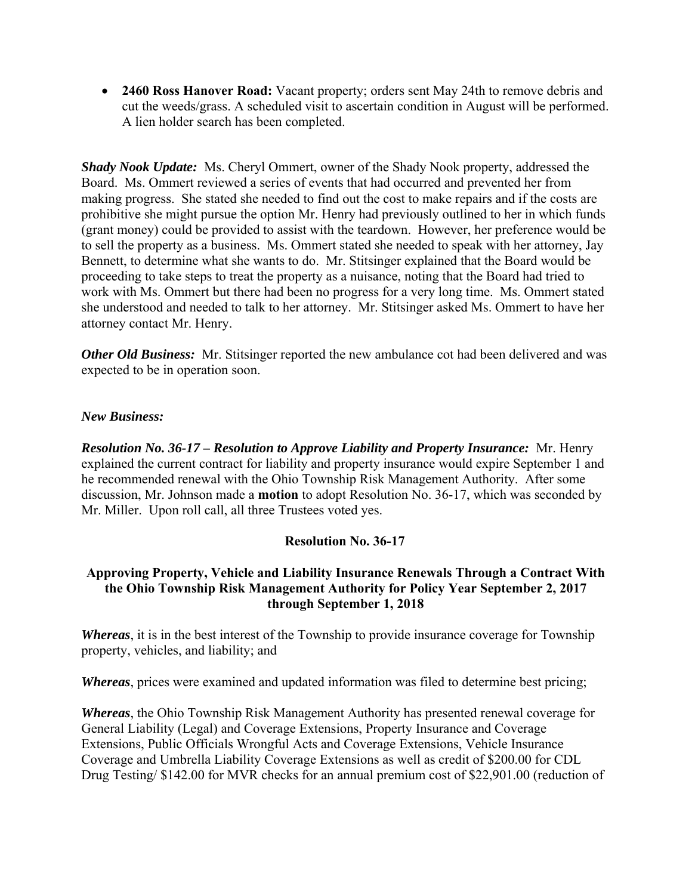**2460 Ross Hanover Road:** Vacant property; orders sent May 24th to remove debris and cut the weeds/grass. A scheduled visit to ascertain condition in August will be performed. A lien holder search has been completed.

*Shady Nook Update:* Ms. Cheryl Ommert, owner of the Shady Nook property, addressed the Board. Ms. Ommert reviewed a series of events that had occurred and prevented her from making progress. She stated she needed to find out the cost to make repairs and if the costs are prohibitive she might pursue the option Mr. Henry had previously outlined to her in which funds (grant money) could be provided to assist with the teardown. However, her preference would be to sell the property as a business. Ms. Ommert stated she needed to speak with her attorney, Jay Bennett, to determine what she wants to do. Mr. Stitsinger explained that the Board would be proceeding to take steps to treat the property as a nuisance, noting that the Board had tried to work with Ms. Ommert but there had been no progress for a very long time. Ms. Ommert stated she understood and needed to talk to her attorney. Mr. Stitsinger asked Ms. Ommert to have her attorney contact Mr. Henry.

*Other Old Business:* Mr. Stitsinger reported the new ambulance cot had been delivered and was expected to be in operation soon.

# *New Business:*

*Resolution No. 36-17 – Resolution to Approve Liability and Property Insurance:* Mr. Henry explained the current contract for liability and property insurance would expire September 1 and he recommended renewal with the Ohio Township Risk Management Authority. After some discussion, Mr. Johnson made a **motion** to adopt Resolution No. 36-17, which was seconded by Mr. Miller. Upon roll call, all three Trustees voted yes.

# **Resolution No. 36-17**

# **Approving Property, Vehicle and Liability Insurance Renewals Through a Contract With the Ohio Township Risk Management Authority for Policy Year September 2, 2017 through September 1, 2018**

*Whereas*, it is in the best interest of the Township to provide insurance coverage for Township property, vehicles, and liability; and

*Whereas*, prices were examined and updated information was filed to determine best pricing;

*Whereas*, the Ohio Township Risk Management Authority has presented renewal coverage for General Liability (Legal) and Coverage Extensions, Property Insurance and Coverage Extensions, Public Officials Wrongful Acts and Coverage Extensions, Vehicle Insurance Coverage and Umbrella Liability Coverage Extensions as well as credit of \$200.00 for CDL Drug Testing/ \$142.00 for MVR checks for an annual premium cost of \$22,901.00 (reduction of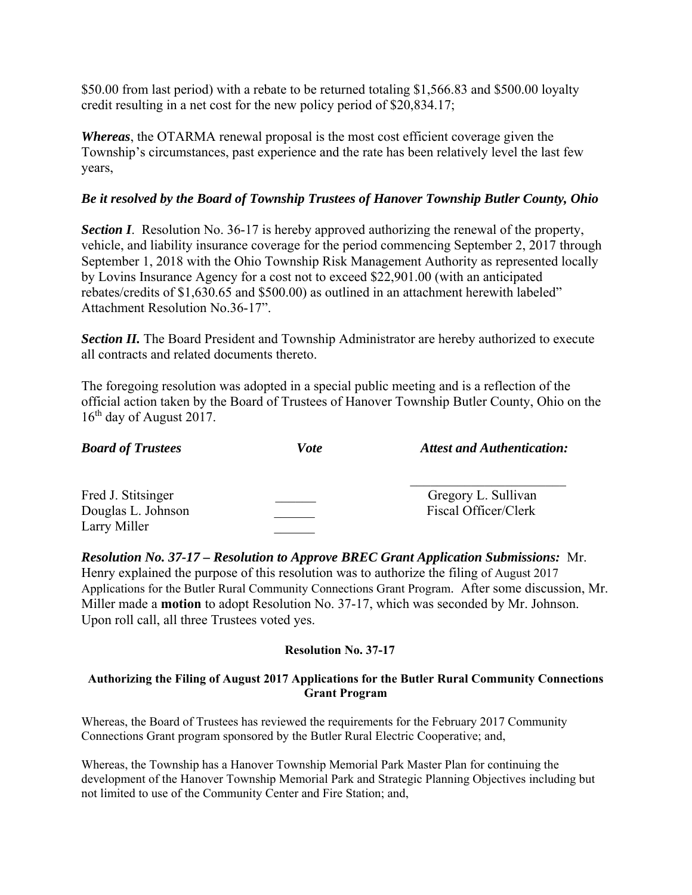\$50.00 from last period) with a rebate to be returned totaling \$1,566.83 and \$500.00 loyalty credit resulting in a net cost for the new policy period of \$20,834.17;

*Whereas*, the OTARMA renewal proposal is the most cost efficient coverage given the Township's circumstances, past experience and the rate has been relatively level the last few years,

# *Be it resolved by the Board of Township Trustees of Hanover Township Butler County, Ohio*

*Section I*. Resolution No. 36-17 is hereby approved authorizing the renewal of the property, vehicle, and liability insurance coverage for the period commencing September 2, 2017 through September 1, 2018 with the Ohio Township Risk Management Authority as represented locally by Lovins Insurance Agency for a cost not to exceed \$22,901.00 (with an anticipated rebates/credits of \$1,630.65 and \$500.00) as outlined in an attachment herewith labeled" Attachment Resolution No.36-17".

**Section II.** The Board President and Township Administrator are hereby authorized to execute all contracts and related documents thereto.

The foregoing resolution was adopted in a special public meeting and is a reflection of the official action taken by the Board of Trustees of Hanover Township Butler County, Ohio on the  $16<sup>th</sup>$  day of August 2017.

| <b>Board of Trustees</b>                                 | <i>Vote</i> | <b>Attest and Authentication:</b>           |
|----------------------------------------------------------|-------------|---------------------------------------------|
| Fred J. Stitsinger<br>Douglas L. Johnson<br>Larry Miller |             | Gregory L. Sullivan<br>Fiscal Officer/Clerk |

*Resolution No. 37-17 – Resolution to Approve BREC Grant Application Submissions:* Mr. Henry explained the purpose of this resolution was to authorize the filing of August 2017 Applications for the Butler Rural Community Connections Grant Program. After some discussion, Mr. Miller made a **motion** to adopt Resolution No. 37-17, which was seconded by Mr. Johnson. Upon roll call, all three Trustees voted yes.

# **Resolution No. 37-17**

# **Authorizing the Filing of August 2017 Applications for the Butler Rural Community Connections Grant Program**

Whereas, the Board of Trustees has reviewed the requirements for the February 2017 Community Connections Grant program sponsored by the Butler Rural Electric Cooperative; and,

Whereas, the Township has a Hanover Township Memorial Park Master Plan for continuing the development of the Hanover Township Memorial Park and Strategic Planning Objectives including but not limited to use of the Community Center and Fire Station; and,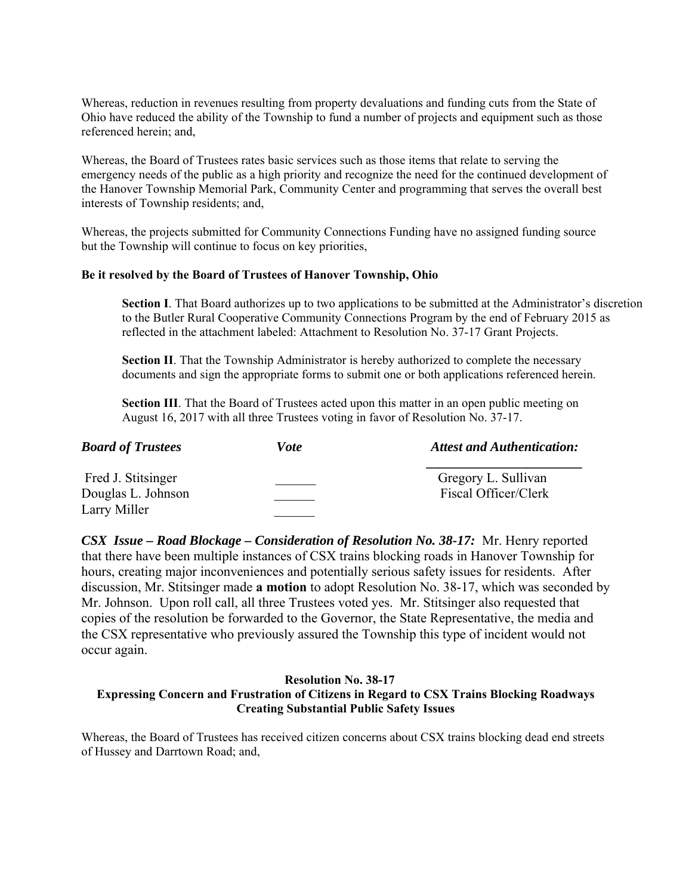Whereas, reduction in revenues resulting from property devaluations and funding cuts from the State of Ohio have reduced the ability of the Township to fund a number of projects and equipment such as those referenced herein; and,

Whereas, the Board of Trustees rates basic services such as those items that relate to serving the emergency needs of the public as a high priority and recognize the need for the continued development of the Hanover Township Memorial Park, Community Center and programming that serves the overall best interests of Township residents; and,

Whereas, the projects submitted for Community Connections Funding have no assigned funding source but the Township will continue to focus on key priorities,

#### **Be it resolved by the Board of Trustees of Hanover Township, Ohio**

**Section I**. That Board authorizes up to two applications to be submitted at the Administrator's discretion to the Butler Rural Cooperative Community Connections Program by the end of February 2015 as reflected in the attachment labeled: Attachment to Resolution No. 37-17 Grant Projects.

**Section II**. That the Township Administrator is hereby authorized to complete the necessary documents and sign the appropriate forms to submit one or both applications referenced herein.

**Section III**. That the Board of Trustees acted upon this matter in an open public meeting on August 16, 2017 with all three Trustees voting in favor of Resolution No. 37-17.

| <b>Board of Trustees</b>                 | Vote | <b>Attest and Authentication:</b>           |
|------------------------------------------|------|---------------------------------------------|
| Fred J. Stitsinger<br>Douglas L. Johnson |      | Gregory L. Sullivan<br>Fiscal Officer/Clerk |
| Larry Miller                             |      |                                             |

*CSX Issue – Road Blockage – Consideration of Resolution No. 38-17:* Mr. Henry reported that there have been multiple instances of CSX trains blocking roads in Hanover Township for hours, creating major inconveniences and potentially serious safety issues for residents. After discussion, Mr. Stitsinger made **a motion** to adopt Resolution No. 38-17, which was seconded by Mr. Johnson. Upon roll call, all three Trustees voted yes. Mr. Stitsinger also requested that copies of the resolution be forwarded to the Governor, the State Representative, the media and the CSX representative who previously assured the Township this type of incident would not occur again.

## **Resolution No. 38-17 Expressing Concern and Frustration of Citizens in Regard to CSX Trains Blocking Roadways Creating Substantial Public Safety Issues**

Whereas, the Board of Trustees has received citizen concerns about CSX trains blocking dead end streets of Hussey and Darrtown Road; and,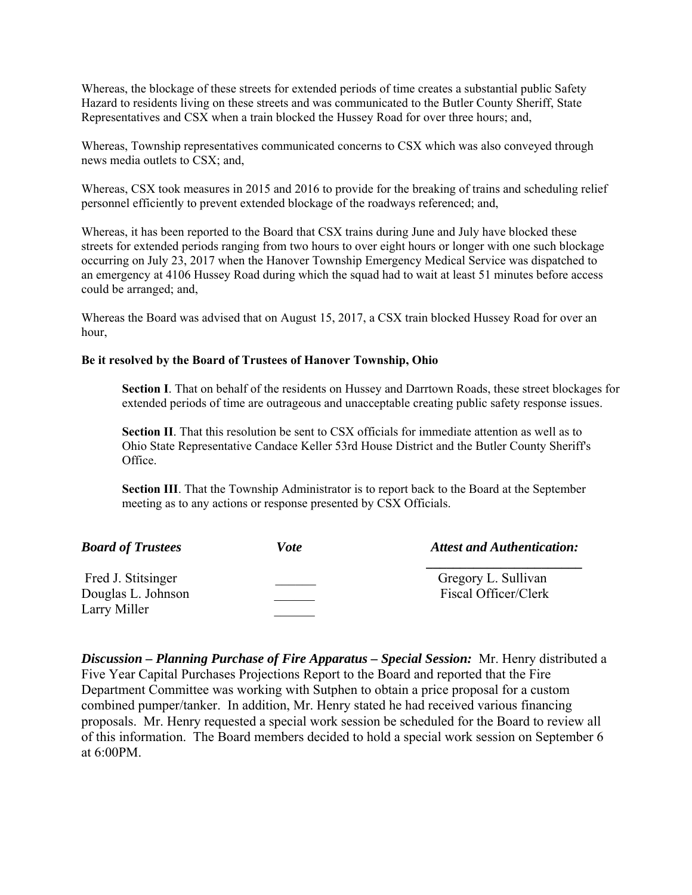Whereas, the blockage of these streets for extended periods of time creates a substantial public Safety Hazard to residents living on these streets and was communicated to the Butler County Sheriff, State Representatives and CSX when a train blocked the Hussey Road for over three hours; and,

Whereas, Township representatives communicated concerns to CSX which was also conveyed through news media outlets to CSX; and,

Whereas, CSX took measures in 2015 and 2016 to provide for the breaking of trains and scheduling relief personnel efficiently to prevent extended blockage of the roadways referenced; and,

Whereas, it has been reported to the Board that CSX trains during June and July have blocked these streets for extended periods ranging from two hours to over eight hours or longer with one such blockage occurring on July 23, 2017 when the Hanover Township Emergency Medical Service was dispatched to an emergency at 4106 Hussey Road during which the squad had to wait at least 51 minutes before access could be arranged; and,

Whereas the Board was advised that on August 15, 2017, a CSX train blocked Hussey Road for over an hour,

### **Be it resolved by the Board of Trustees of Hanover Township, Ohio**

**Section I**. That on behalf of the residents on Hussey and Darrtown Roads, these street blockages for extended periods of time are outrageous and unacceptable creating public safety response issues.

**Section II**. That this resolution be sent to CSX officials for immediate attention as well as to Ohio State Representative Candace Keller 53rd House District and the Butler County Sheriff's Office.

**Section III**. That the Township Administrator is to report back to the Board at the September meeting as to any actions or response presented by CSX Officials.

| Vote | <b>Attest and Authentication:</b>           |
|------|---------------------------------------------|
|      | Gregory L. Sullivan<br>Fiscal Officer/Clerk |
|      |                                             |

*Discussion – Planning Purchase of Fire Apparatus – Special Session:* Mr. Henry distributed a Five Year Capital Purchases Projections Report to the Board and reported that the Fire Department Committee was working with Sutphen to obtain a price proposal for a custom combined pumper/tanker. In addition, Mr. Henry stated he had received various financing proposals. Mr. Henry requested a special work session be scheduled for the Board to review all of this information. The Board members decided to hold a special work session on September 6 at 6:00PM.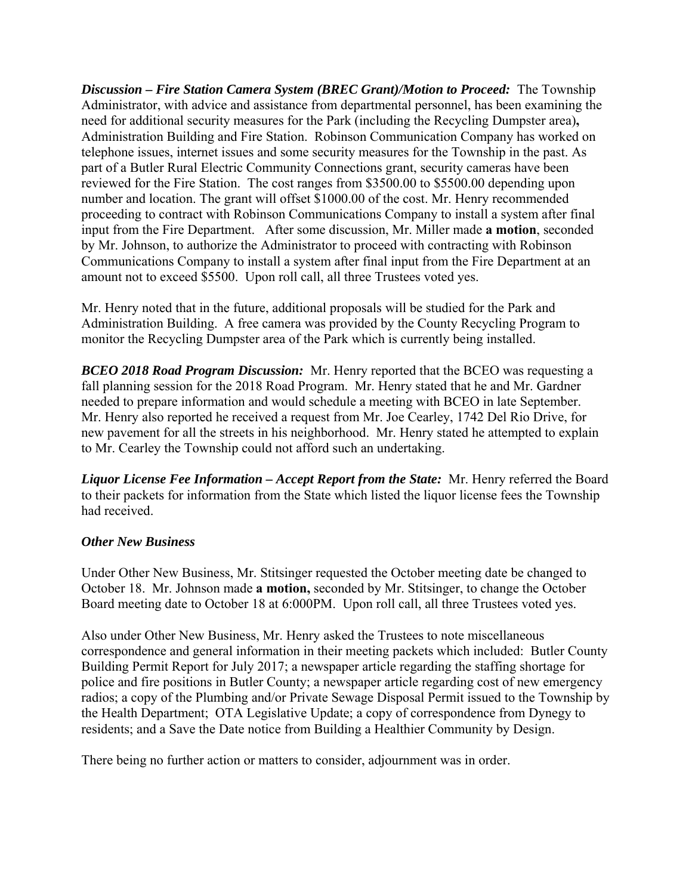*Discussion – Fire Station Camera System (BREC Grant)/Motion to Proceed:* The Township Administrator, with advice and assistance from departmental personnel, has been examining the need for additional security measures for the Park (including the Recycling Dumpster area)**,**  Administration Building and Fire Station. Robinson Communication Company has worked on telephone issues, internet issues and some security measures for the Township in the past. As part of a Butler Rural Electric Community Connections grant, security cameras have been reviewed for the Fire Station. The cost ranges from \$3500.00 to \$5500.00 depending upon number and location. The grant will offset \$1000.00 of the cost. Mr. Henry recommended proceeding to contract with Robinson Communications Company to install a system after final input from the Fire Department. After some discussion, Mr. Miller made **a motion**, seconded by Mr. Johnson, to authorize the Administrator to proceed with contracting with Robinson Communications Company to install a system after final input from the Fire Department at an amount not to exceed \$5500. Upon roll call, all three Trustees voted yes.

Mr. Henry noted that in the future, additional proposals will be studied for the Park and Administration Building. A free camera was provided by the County Recycling Program to monitor the Recycling Dumpster area of the Park which is currently being installed.

*BCEO 2018 Road Program Discussion:* Mr. Henry reported that the BCEO was requesting a fall planning session for the 2018 Road Program. Mr. Henry stated that he and Mr. Gardner needed to prepare information and would schedule a meeting with BCEO in late September. Mr. Henry also reported he received a request from Mr. Joe Cearley, 1742 Del Rio Drive, for new pavement for all the streets in his neighborhood. Mr. Henry stated he attempted to explain to Mr. Cearley the Township could not afford such an undertaking.

*Liquor License Fee Information – Accept Report from the State: Mr. Henry referred the Board* to their packets for information from the State which listed the liquor license fees the Township had received.

# *Other New Business*

Under Other New Business, Mr. Stitsinger requested the October meeting date be changed to October 18. Mr. Johnson made **a motion,** seconded by Mr. Stitsinger, to change the October Board meeting date to October 18 at 6:000PM. Upon roll call, all three Trustees voted yes.

Also under Other New Business, Mr. Henry asked the Trustees to note miscellaneous correspondence and general information in their meeting packets which included: Butler County Building Permit Report for July 2017; a newspaper article regarding the staffing shortage for police and fire positions in Butler County; a newspaper article regarding cost of new emergency radios; a copy of the Plumbing and/or Private Sewage Disposal Permit issued to the Township by the Health Department; OTA Legislative Update; a copy of correspondence from Dynegy to residents; and a Save the Date notice from Building a Healthier Community by Design.

There being no further action or matters to consider, adjournment was in order.